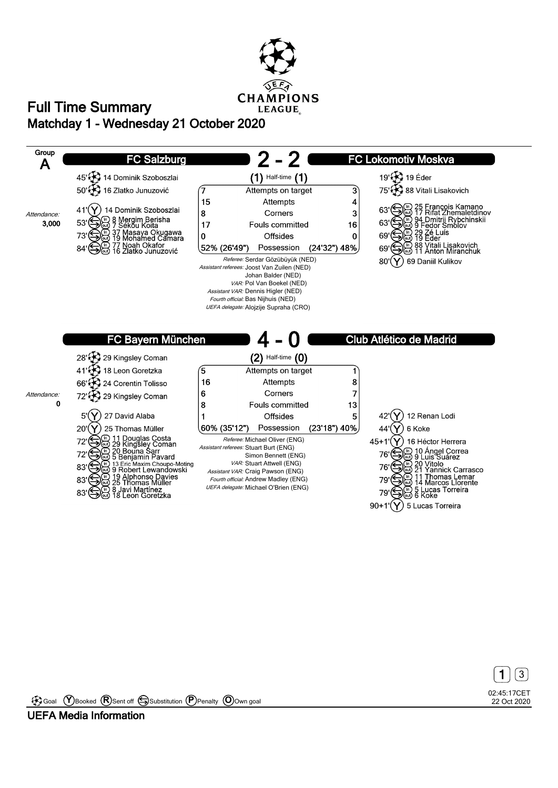

## **Matchday 1 - Wednesday 21 October 2020 Full Time Summary**





Goal **Y** Booked **R** Sent off Substitution **P** Penalty **O** Own goal

**UEFA Media Information**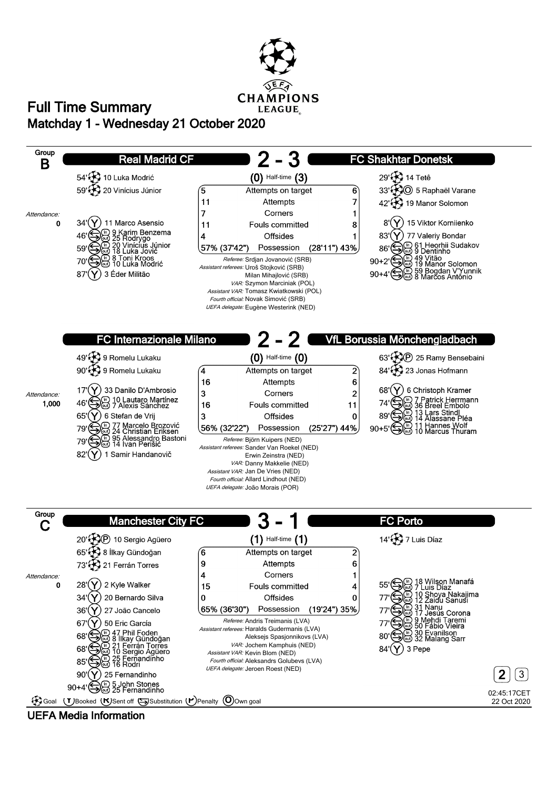

## **Matchday 1 - Wednesday 21 October 2020 Full Time Summary**



**UEFA Media Information**